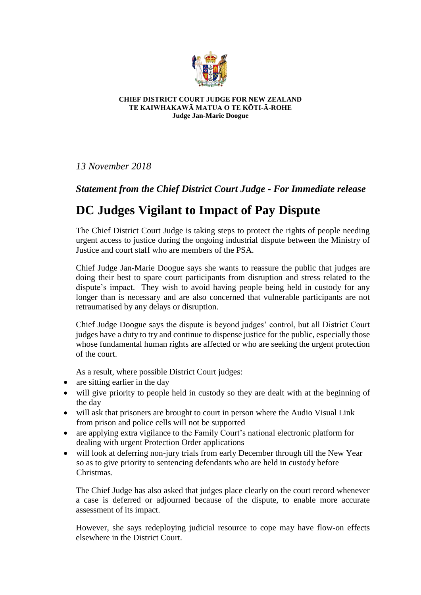

## **CHIEF DISTRICT COURT JUDGE FOR NEW ZEALAND TE KAIWHAKAWĀ MATUA O TE KŌTI-Ā-ROHE Judge Jan-Marie Doogue**

*13 November 2018*

## *Statement from the Chief District Court Judge - For Immediate release*

## **DC Judges Vigilant to Impact of Pay Dispute**

The Chief District Court Judge is taking steps to protect the rights of people needing urgent access to justice during the ongoing industrial dispute between the Ministry of Justice and court staff who are members of the PSA.

Chief Judge Jan-Marie Doogue says she wants to reassure the public that judges are doing their best to spare court participants from disruption and stress related to the dispute's impact. They wish to avoid having people being held in custody for any longer than is necessary and are also concerned that vulnerable participants are not retraumatised by any delays or disruption.

Chief Judge Doogue says the dispute is beyond judges' control, but all District Court judges have a duty to try and continue to dispense justice for the public, especially those whose fundamental human rights are affected or who are seeking the urgent protection of the court.

As a result, where possible District Court judges:

- are sitting earlier in the day
- will give priority to people held in custody so they are dealt with at the beginning of the day
- will ask that prisoners are brought to court in person where the Audio Visual Link from prison and police cells will not be supported
- are applying extra vigilance to the Family Court's national electronic platform for dealing with urgent Protection Order applications
- will look at deferring non-jury trials from early December through till the New Year so as to give priority to sentencing defendants who are held in custody before Christmas.

The Chief Judge has also asked that judges place clearly on the court record whenever a case is deferred or adjourned because of the dispute, to enable more accurate assessment of its impact.

However, she says redeploying judicial resource to cope may have flow-on effects elsewhere in the District Court.